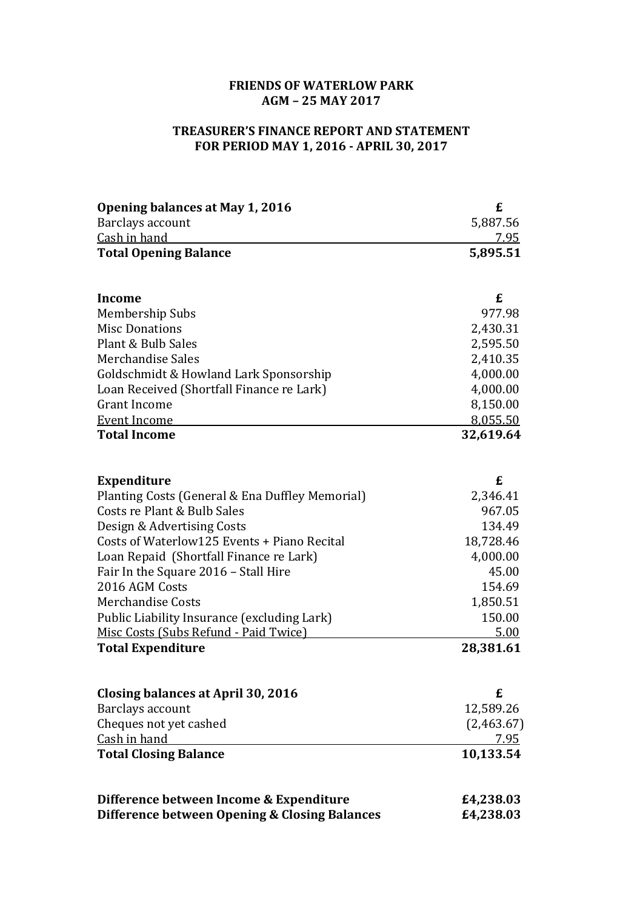## **FRIENDS OF WATERLOW PARK AGM – 25 MAY 2017**

## **TREASURER'S FINANCE REPORT AND STATEMENT FOR PERIOD MAY 1, 2016 - APRIL 30, 2017**

| Opening balances at May 1, 2016                 | £          |
|-------------------------------------------------|------------|
| Barclays account                                | 5,887.56   |
| Cash in hand                                    | 7.95       |
| <b>Total Opening Balance</b>                    | 5,895.51   |
|                                                 |            |
| <b>Income</b>                                   | £          |
| Membership Subs                                 | 977.98     |
| <b>Misc Donations</b>                           | 2,430.31   |
| Plant & Bulb Sales                              | 2,595.50   |
| Merchandise Sales                               | 2,410.35   |
| Goldschmidt & Howland Lark Sponsorship          | 4,000.00   |
| Loan Received (Shortfall Finance re Lark)       | 4,000.00   |
| <b>Grant Income</b>                             | 8,150.00   |
| <b>Event Income</b>                             | 8,055.50   |
| <b>Total Income</b>                             | 32,619.64  |
|                                                 |            |
| <b>Expenditure</b>                              | £          |
| Planting Costs (General & Ena Duffley Memorial) | 2,346.41   |
| Costs re Plant & Bulb Sales                     | 967.05     |
| Design & Advertising Costs                      | 134.49     |
| Costs of Waterlow125 Events + Piano Recital     | 18,728.46  |
| Loan Repaid (Shortfall Finance re Lark)         | 4,000.00   |
| Fair In the Square 2016 - Stall Hire            | 45.00      |
| 2016 AGM Costs                                  | 154.69     |
| <b>Merchandise Costs</b>                        | 1,850.51   |
| Public Liability Insurance (excluding Lark)     | 150.00     |
| Misc Costs (Subs Refund - Paid Twice)           | 5.00       |
| <b>Total Expenditure</b>                        | 28,381.61  |
|                                                 |            |
| Closing balances at April 30, 2016              | £          |
| Barclays account                                | 12,589.26  |
| Cheques not yet cashed                          | (2,463.67) |
| Cash in hand                                    | 7.95       |
| <b>Total Closing Balance</b>                    | 10,133.54  |
| Difference between Income & Expenditure         | £4,238.03  |
| Difference between Opening & Closing Balances   | £4,238.03  |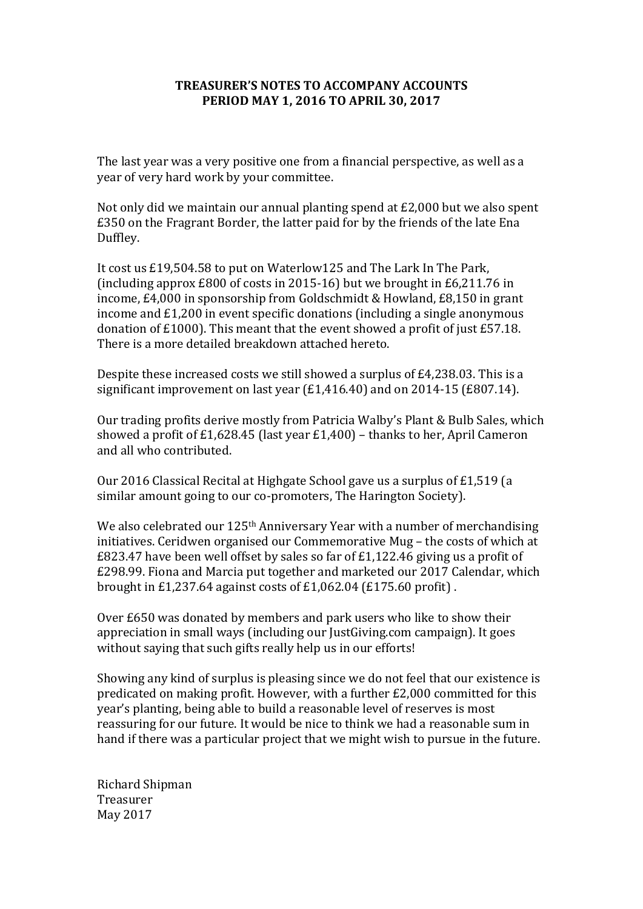## **TREASURER'S NOTES TO ACCOMPANY ACCOUNTS PERIOD MAY 1, 2016 TO APRIL 30, 2017**

The last vear was a very positive one from a financial perspective, as well as a year of very hard work by your committee.

Not only did we maintain our annual planting spend at  $£2,000$  but we also spent  $£350$  on the Fragrant Border, the latter paid for by the friends of the late Ena Duffley.

It cost us £19,504.58 to put on Waterlow125 and The Lark In The Park, (including approx  $£800$  of costs in 2015-16) but we brought in  $£6,211.76$  in income,  $E4,000$  in sponsorship from Goldschmidt & Howland,  $E8,150$  in grant income and  $£1,200$  in event specific donations (including a single anonymous donation of  $£1000$ ). This meant that the event showed a profit of just  $£57.18$ . There is a more detailed breakdown attached hereto.

Despite these increased costs we still showed a surplus of  $E4,238.03$ . This is a significant improvement on last year  $(E1,416.40)$  and on 2014-15  $(E807.14)$ .

Our trading profits derive mostly from Patricia Walby's Plant & Bulb Sales, which showed a profit of £1,628.45 (last year  $£1,400$ ) – thanks to her, April Cameron and all who contributed.

Our 2016 Classical Recital at Highgate School gave us a surplus of £1,519 (a similar amount going to our co-promoters, The Harington Society).

We also celebrated our  $125<sup>th</sup>$  Anniversary Year with a number of merchandising initiatives. Ceridwen organised our Commemorative Mug – the costs of which at  $E823.47$  have been well offset by sales so far of  $E1,122.46$  giving us a profit of £298.99. Fiona and Marcia put together and marketed our 2017 Calendar, which brought in £1,237.64 against costs of £1,062.04 (£175.60 profit).

Over £650 was donated by members and park users who like to show their appreciation in small ways (including our JustGiving.com campaign). It goes without saying that such gifts really help us in our efforts!

Showing any kind of surplus is pleasing since we do not feel that our existence is predicated on making profit. However, with a further  $£2,000$  committed for this year's planting, being able to build a reasonable level of reserves is most reassuring for our future. It would be nice to think we had a reasonable sum in hand if there was a particular project that we might wish to pursue in the future.

Richard Shipman Treasurer May 2017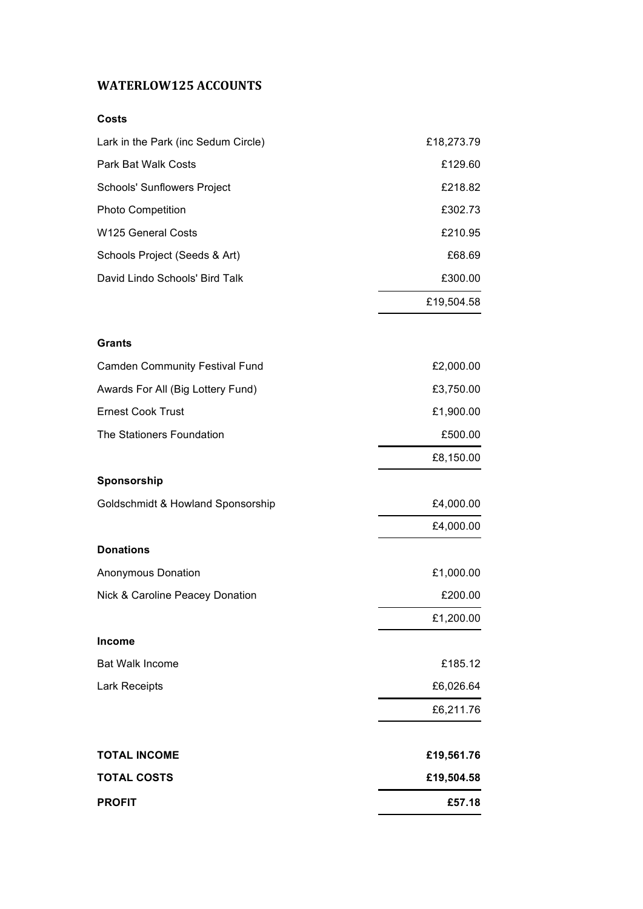## **WATERLOW125 ACCOUNTS**

| <b>TOTAL COSTS</b>                               | £19,504.58 |
|--------------------------------------------------|------------|
| <b>TOTAL INCOME</b>                              | £19,561.76 |
|                                                  | £6,211.76  |
| Lark Receipts                                    | £6,026.64  |
| <b>Bat Walk Income</b>                           | £185.12    |
| <b>Income</b>                                    |            |
|                                                  | £1,200.00  |
| Nick & Caroline Peacey Donation                  | £200.00    |
| Anonymous Donation                               | £1,000.00  |
| <b>Donations</b>                                 |            |
|                                                  | £4,000.00  |
| Sponsorship<br>Goldschmidt & Howland Sponsorship | £4,000.00  |
|                                                  | £8,150.00  |
| The Stationers Foundation                        | £500.00    |
| <b>Ernest Cook Trust</b>                         | £1,900.00  |
| Awards For All (Big Lottery Fund)                | £3,750.00  |
| <b>Camden Community Festival Fund</b>            | £2,000.00  |
| <b>Grants</b>                                    |            |
|                                                  | £19,504.58 |
| David Lindo Schools' Bird Talk                   | £300.00    |
| Schools Project (Seeds & Art)                    | £68.69     |
| <b>W125 General Costs</b>                        | £210.95    |
| <b>Photo Competition</b>                         | £302.73    |
| Schools' Sunflowers Project                      | £218.82    |
| Park Bat Walk Costs                              | £129.60    |
| Lark in the Park (inc Sedum Circle)              | £18,273.79 |
| ししょい                                             |            |

**PROFIT £57.18**